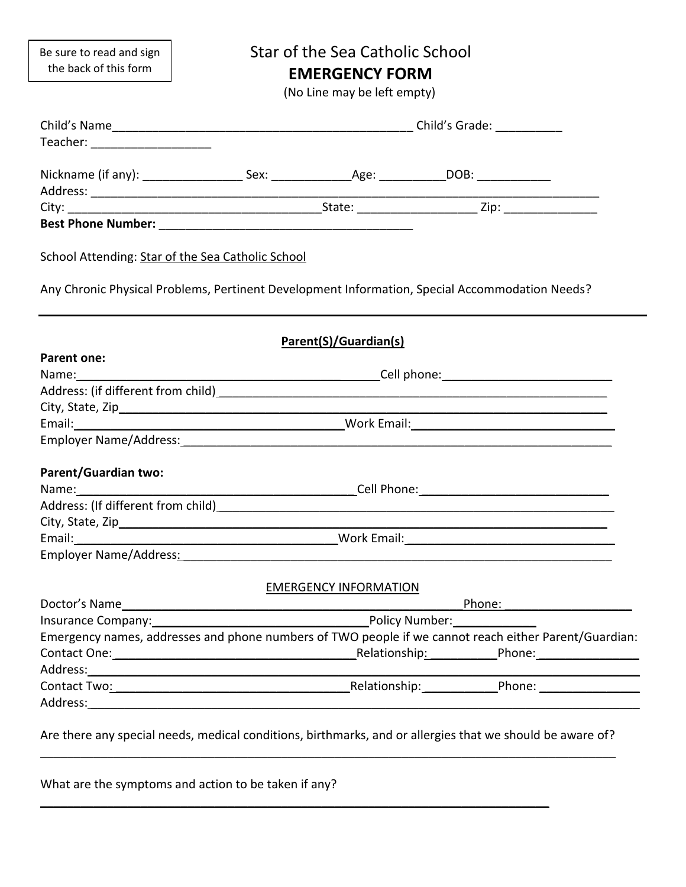Be sure to read and sign the back of this form

# Star of the Sea Catholic School

(No Line may be left empty)

| Teacher: ______________________                                                                      |                              |                                                                                                                      |  |
|------------------------------------------------------------------------------------------------------|------------------------------|----------------------------------------------------------------------------------------------------------------------|--|
| Nickname (if any): _________________________Sex: _______________________________DOB: _______________ |                              |                                                                                                                      |  |
|                                                                                                      |                              |                                                                                                                      |  |
|                                                                                                      |                              |                                                                                                                      |  |
| School Attending: Star of the Sea Catholic School                                                    |                              |                                                                                                                      |  |
|                                                                                                      |                              | Any Chronic Physical Problems, Pertinent Development Information, Special Accommodation Needs?                       |  |
|                                                                                                      | Parent(S)/Guardian(s)        |                                                                                                                      |  |
| <b>Parent one:</b>                                                                                   |                              |                                                                                                                      |  |
|                                                                                                      |                              |                                                                                                                      |  |
|                                                                                                      |                              |                                                                                                                      |  |
|                                                                                                      |                              |                                                                                                                      |  |
|                                                                                                      |                              | Email: North Contract of the Contract of Monte Contract of Monte Contract of Monte Contract of Monte Contract O      |  |
|                                                                                                      |                              |                                                                                                                      |  |
| Parent/Guardian two:                                                                                 |                              |                                                                                                                      |  |
|                                                                                                      |                              |                                                                                                                      |  |
|                                                                                                      |                              |                                                                                                                      |  |
|                                                                                                      |                              |                                                                                                                      |  |
|                                                                                                      |                              |                                                                                                                      |  |
|                                                                                                      |                              | Employer Name/Address: Manual Manual Manual Manual Manual Manual Manual Manual Manual Manual Manual Manual Manu      |  |
|                                                                                                      | <b>EMERGENCY INFORMATION</b> |                                                                                                                      |  |
|                                                                                                      |                              | Phone: 2000                                                                                                          |  |
| Insurance Company:                                                                                   |                              |                                                                                                                      |  |
|                                                                                                      |                              | Emergency names, addresses and phone numbers of TWO people if we cannot reach either Parent/Guardian:                |  |
|                                                                                                      |                              | Contact One: 1990 March 2010 March 2010 March 2010 March 2010 March 2010 March 2010 March 2010 March 2010 March 2010 |  |
|                                                                                                      |                              |                                                                                                                      |  |
|                                                                                                      |                              |                                                                                                                      |  |
|                                                                                                      |                              |                                                                                                                      |  |
|                                                                                                      |                              | Are there any special needs, medical conditions, birthmarks, and or allergies that we should be aware of?            |  |

What are the symptoms and action to be taken if any?

 $\mathcal{L} = \{ \mathcal{L} = \{ \mathcal{L} = \mathcal{L} \} \cup \{ \mathcal{L} = \{ \mathcal{L} = \mathcal{L} \} \cup \{ \mathcal{L} = \{ \mathcal{L} = \mathcal{L} \} \cup \{ \mathcal{L} = \{ \mathcal{L} = \mathcal{L} \} \cup \{ \mathcal{L} = \{ \mathcal{L} = \mathcal{L} \} \cup \{ \mathcal{L} = \{ \mathcal{L} = \mathcal{L} \} \cup \{ \mathcal{L} = \{ \mathcal{L} = \mathcal{L} \} \cup \{ \mathcal{L} = \{ \mathcal{L}$